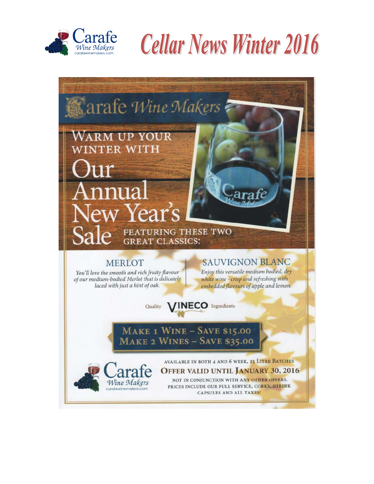

**Cellar News Winter 2016** 

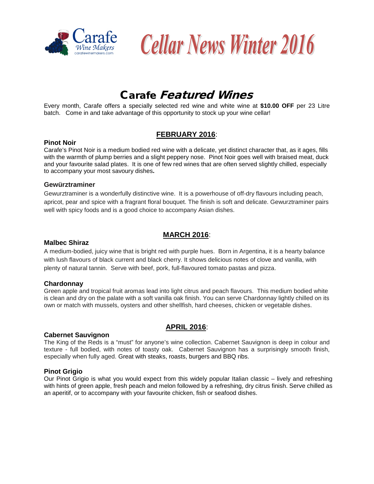



## Carafe Featured Wines

Every month, Carafe offers a specially selected red wine and white wine at **\$10.00 OFF** per 23 Litre batch. Come in and take advantage of this opportunity to stock up your wine cellar!

## **FEBRUARY 2016**:

#### **Pinot Noir**

Carafe's Pinot Noir is a medium bodied red wine with a delicate, yet distinct character that, as it ages, fills with the warmth of plump berries and a slight peppery nose. Pinot Noir goes well with braised meat, duck and your favourite salad plates. It is one of few red wines that are often served slightly chilled, especially to accompany your most savoury dishes**.** 

#### **Gewürztraminer**

Gewurztraminer is a wonderfully distinctive wine. It is a powerhouse of off-dry flavours including peach, apricot, pear and spice with a fragrant floral bouquet. The finish is soft and delicate. Gewurztraminer pairs well with spicy foods and is a good choice to accompany Asian dishes.

## **MARCH 2016**:

#### **Malbec Shiraz**

A medium-bodied, juicy wine that is bright red with purple hues. Born in Argentina, it is a hearty balance with lush flavours of black current and black cherry. It shows delicious notes of clove and vanilla, with plenty of natural tannin. Serve with beef, pork, full-flavoured tomato pastas and pizza.

#### **Chardonnay**

Green apple and tropical fruit aromas lead into light citrus and peach flavours. This medium bodied white is clean and dry on the palate with a soft vanilla oak finish. You can serve Chardonnay lightly chilled on its own or match with mussels, oysters and other shellfish, hard cheeses, chicken or vegetable dishes.

#### **Cabernet Sauvignon**

## **APRIL 2016**:

The King of the Reds is a "must" for anyone's wine collection. Cabernet Sauvignon is deep in colour and texture - full bodied, with notes of toasty oak. Cabernet Sauvignon has a surprisingly smooth finish, especially when fully aged. Great with steaks, roasts, burgers and BBQ ribs.

#### **Pinot Grigio**

Our Pinot Grigio is what you would expect from this widely popular Italian classic – lively and refreshing with hints of green apple, fresh peach and melon followed by a refreshing, dry citrus finish. Serve chilled as an aperitif, or to accompany with your favourite chicken, fish or seafood dishes.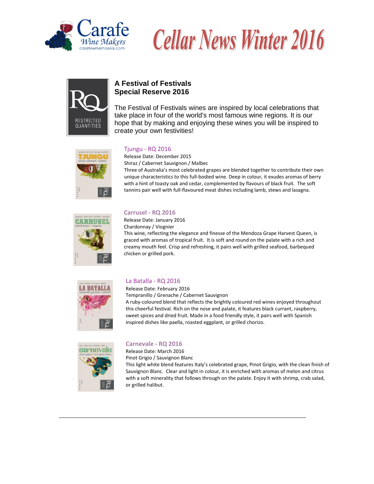





## **A Festival of Festivals Special Reserve 2016**

The Festival of Festivals wines are inspired by local celebrations that take place in four of the world's most famous wine regions. It is our hope that by making and enjoying these wines you will be inspired to create your own festivities!



#### Tjungu - [RQ 2016](http://www.rjscraftwinemaking.com/product/Tjungu---RQ-201611?pageID=d6c0eb1c-a746-0065-d080-673f84f27805&sortBy=ProductTitle&maxRows=10&)

[Release](http://www.rjscraftwinemaking.com/product/Tjungu---RQ-201611?pageID=d6c0eb1c-a746-0065-d080-673f84f27805&sortBy=ProductTitle&maxRows=10&) Date: December 2015 Shiraz / Cabernet Sauvignon / Malbec Three of Australia's most celebrated grapes are blended together to contribute their own

unique characteristics to this full-bodied wine. Deep in colour, it exudes aromas of berry with a hint of toasty oak and cedar, complemented by flavours of black fruit. The soft tannins pair well with full-flavoured meat dishes including lamb, stews and lasagna.



#### **Carrusel - RQ 2016**

Release Date: January 2016 Chardonnay / Viognier This wine, reflecting the elegance and finesse of the Mendoza Grape Harvest Queen, is graced with aromas of tropical fruit. It is soft and round on the palate with a rich and creamy mouth feel. Crisp and refreshing, it pairs well with grilled seafood, barbequed chicken or grilled pork.



#### [La Batalla -](http://www.rjscraftwinemaking.com/product/La-Batalla---RQ-2016?pageID=d6c0eb1c-a746-0065-d080-673f84f27805&sortBy=ProductTitle&maxRows=10&) RQ 2016

[Release](http://www.rjscraftwinemaking.com/product/La-Batalla---RQ-2016?pageID=d6c0eb1c-a746-0065-d080-673f84f27805&sortBy=ProductTitle&maxRows=10&) Date: February 2016 Tempranillo / Grenache / Cabernet Sauvignon

A ruby-coloured blend that reflects the brightly coloured red wines enjoyed throughout this cheerful festival. Rich on the nose and palate, it features black currant, raspberry, sweet spices and dried fruit. Made in a food friendly style, it pairs well with Spanish inspired dishes like paella, roasted eggplant, or grilled chorizo.



#### **Carnevale - RQ 2016**

Release Date: March 2016 Pinot Grigio / Sauvignon Blanc

This light white blend features Italy's celebrated grape, Pinot Grigio, with the clean finish of Sauvignon Blanc. Clear and light in colour, it is enriched with aromas of melon and citrus with a soft minerality that follows through on the palate. Enjoy it with shrimp, crab salad, or grilled halibut.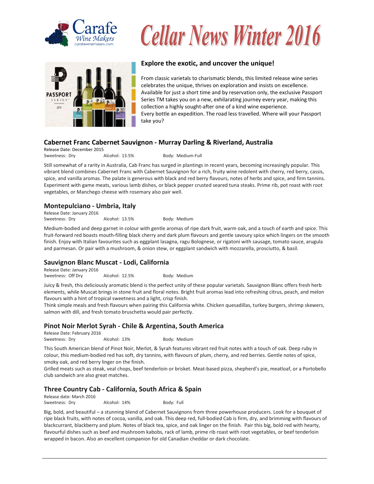

# **Cellar News Winter 2016**



#### **Explore the exotic, and uncover the unique!**

From classic varietals to charismatic blends, this limited release wine series celebrates the unique, thrives on exploration and insists on excellence. Available for just a short time and by reservation only, the exclusive Passport Series TM takes you on a new, exhilarating journey every year, making this collection a highly sought-after one of a kind wine experience. Every bottle an expedition. The road less travelled. Where will your Passport take you?

#### **Cabernet Franc Cabernet Sauvignon - Murray Darling & Riverland, Australia**

Release Date: December 2015 Sweetness: Dry **Alcohol: 13.5%** Body: Medium-Full

Still somewhat of a rarity in Australia, Cab Franc has surged in plantings in recent years, becoming increasingly popular. This vibrant blend combines Cabernet Franc with Cabernet Sauvignon for a rich, fruity wine redolent with cherry, red berry, cassis, spice, and vanilla aromas. The palate is generous with black and red berry flavours, notes of herbs and spice, and firm tannins. Experiment with game meats, various lamb dishes, or black pepper crusted seared tuna steaks. Prime rib, pot roast with root vegetables, or Manchego cheese with rosemary also pair well.

#### **Montepulciano - Umbria, Italy** Release Date: January 2016

Sweetness: Dry **Alcohol: 13.5%** Body: Medium

Medium-bodied and deep garnet in colour with gentle aromas of ripe dark fruit, warm oak, and a touch of earth and spice. This fruit-forward red boasts mouth-filling black cherry and dark plum flavours and gentle savoury spice which lingers on the smooth finish. Enjoy with Italian favourites such as eggplant lasagna, ragu Bolognese, or rigatoni with sausage, tomato sauce, arugula and parmesan. Or pair with a mushroom, & onion stew, or eggplant sandwich with mozzarella, prosciutto, & basil.

## **Sauvignon Blanc Muscat - Lodi, California**

Release Date: January 2016 Sweetness: Off Dry Alcohol: 12.5% Body: Medium

Juicy & fresh, this deliciously aromatic blend is the perfect unity of these popular varietals. Sauvignon Blanc offers fresh herb elements, while Muscat brings in stone fruit and floral notes. Bright fruit aromas lead into refreshing citrus, peach, and melon flavours with a hint of tropical sweetness and a light, crisp finish.

Think simple meals and fresh flavours when pairing this California white. Chicken quesadillas, turkey burgers, shrimp skewers, salmon with dill, and fresh tomato bruschetta would pair perfectly.

#### **Pinot Noir Merlot Syrah - Chile & Argentina, South America**

Release Date: February 2016 Sweetness: Dry **Alcohol: 13%** Body: Medium

This South American blend of Pinot Noir, Merlot, & Syrah features vibrant red fruit notes with a touch of oak. Deep ruby in colour, this medium-bodied red has soft, dry tannins, with flavours of plum, cherry, and red berries. Gentle notes of spice, smoky oak, and red berry linger on the finish.

Grilled meats such as steak, veal chops, beef tenderloin or brisket. Meat-based pizza, shepherd's pie, meatloaf, or a Portobello club sandwich are also great matches.

## **Three Country Cab - California, South Africa & Spain**

Release date: March 2016 Sweetness: Dry **Alcohol: 14%** Body: Full

Big, bold, and beautiful – a stunning blend of Cabernet Sauvignons from three powerhouse producers. Look for a bouquet of ripe black fruits, with notes of cocoa, vanilla, and oak. This deep red, full-bodied Cab is firm, dry, and brimming with flavours of blackcurrant, blackberry and plum. Notes of black tea, spice, and oak linger on the finish. Pair this big, bold red with hearty, flavourful dishes such as beef and mushroom kabobs, rack of lamb, prime rib roast with root vegetables, or beef tenderloin wrapped in bacon. Also an excellent companion for old Canadian cheddar or dark chocolate.